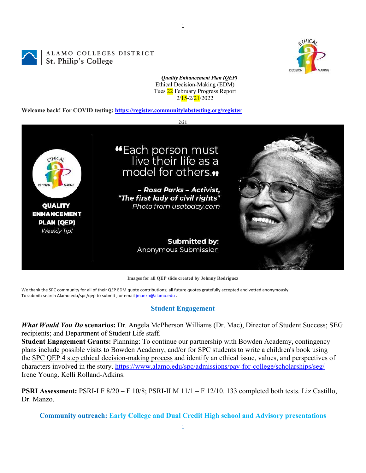ALAMO COLLEGES DISTRICT St. Philip's College



*Quality Enhancement Plan (QEP)* Ethical Decision-Making (EDM) Tues 22 February Progress Report 2/15-2/21/2022

1

**Welcome back! For COVID testing: https://register.communitylabstesting.org/register**



**Images for all QEP slide created by Johnny Rodriguez**

We thank the SPC community for all of their QEP EDM quote contributions; all future quotes gratefully accepted and vetted anonymously. To submit: search Alamo.edu/spc/qep to submit ; or email jmanzo@alamo.edu .

#### **Student Engagement**

*What Would You Do* **scenarios:** Dr. Angela McPherson Williams (Dr. Mac), Director of Student Success; SEG recipients; and Department of Student Life staff.

**Student Engagement Grants:** Planning: To continue our partnership with Bowden Academy, contingency plans include possible visits to Bowden Academy, and/or for SPC students to write a children's book using the SPC QEP 4 step ethical decision-making process and identify an ethical issue, values, and perspectives of characters involved in the story. https://www.alamo.edu/spc/admissions/pay-for-college/scholarships/seg/ Irene Young. Kelli Rolland-Adkins.

**PSRI Assessment:** PSRI-I F 8/20 – F 10/8; PSRI-II M 11/1 – F 12/10. 133 completed both tests. Liz Castillo, Dr. Manzo.

**Community outreach: Early College and Dual Credit High school and Advisory presentations**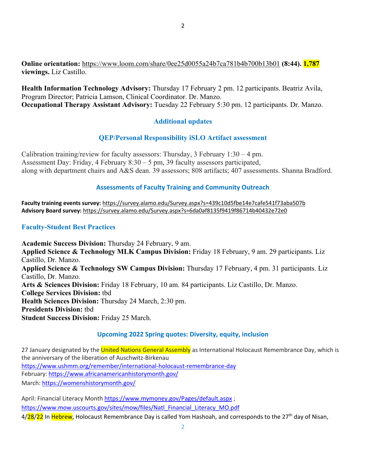**Online orientation:** https://www.loom.com/share/0ee25d0055a24b7ca781b4b700b13b01 **(8:44). 1,787 viewings.** Liz Castillo.

**Health Information Technology Advisory:** Thursday 17 February 2 pm. 12 participants. Beatriz Avila, Program Director; Patricia Lamson, Clinical Coordinator. Dr. Manzo. **Occupational Therapy Assistant Advisory:** Tuesday 22 February 5:30 pm. 12 participants. Dr. Manzo.

# **Additional updates**

## **QEP/Personal Responsibility iSLO Artifact assessment**

Calibration training/review for faculty assessors: Thursday, 3 February  $1:30 - 4$  pm. Assessment Day: Friday, 4 February 8:30 – 5 pm, 39 faculty assessors participated, along with department chairs and A&S dean. 39 assessors; 808 artifacts; 407 assessments. Shanna Bradford.

## **Assessments of Faculty Training and Community Outreach**

**Faculty training events survey:** https://survey.alamo.edu/Survey.aspx?s=439c10d5fbe14e7cafe541f73aba507b **Advisory Board survey:** https://survey.alamo.edu/Survey.aspx?s=6da0af8135f9419f86714b40432e72e0

## **Faculty-Student Best Practices**

**Academic Success Division:** Thursday 24 February, 9 am. **Applied Science & Technology MLK Campus Division:** Friday 18 February, 9 am. 29 participants. Liz Castillo, Dr. Manzo. **Applied Science & Technology SW Campus Division:** Thursday 17 February, 4 pm. 31 participants. Liz Castillo, Dr. Manzo. **Arts & Sciences Division:** Friday 18 February, 10 am. 84 participants. Liz Castillo, Dr. Manzo. **College Services Division:** tbd **Health Sciences Division:** Thursday 24 March, 2:30 pm. **Presidents Division:** tbd **Student Success Division:** Friday 25 March.

#### **Upcoming 2022 Spring quotes: Diversity, equity, inclusion**

27 January designated by the *United Nations General Assembly* as International Holocaust Remembrance Day, which is the anniversary of the liberation of Auschwitz-Birkenau https://www.ushmm.org/remember/international-holocaust-remembrance-day February: https://www.africanamericanhistorymonth.gov/ March: https://womenshistorymonth.gov/

April: Financial Literacy Month https://www.mymoney.gov/Pages/default.aspx ; https://www.mow.uscourts.gov/sites/mow/files/Natl\_Financial\_Literacy\_MO.pdf 4/28/22 In Hebrew, Holocaust Remembrance Day is called Yom Hashoah, and corresponds to the 27<sup>th</sup> day of Nisan,